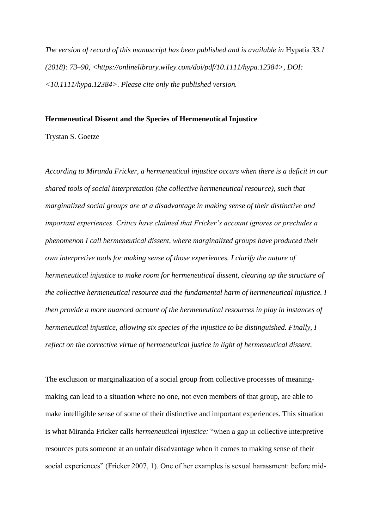*The version of record of this manuscript has been published and is available in* Hypatia *33.1 (2018): 73–90, <https://onlinelibrary.wiley.com/doi/pdf/10.1111/hypa.12384>, DOI: <10.1111/hypa.12384>. Please cite only the published version.*

#### **Hermeneutical Dissent and the Species of Hermeneutical Injustice**

Trystan S. Goetze

*According to Miranda Fricker, a hermeneutical injustice occurs when there is a deficit in our shared tools of social interpretation (the collective hermeneutical resource), such that marginalized social groups are at a disadvantage in making sense of their distinctive and important experiences. Critics have claimed that Fricker's account ignores or precludes a phenomenon I call hermeneutical dissent, where marginalized groups have produced their own interpretive tools for making sense of those experiences. I clarify the nature of hermeneutical injustice to make room for hermeneutical dissent, clearing up the structure of the collective hermeneutical resource and the fundamental harm of hermeneutical injustice. I then provide a more nuanced account of the hermeneutical resources in play in instances of hermeneutical injustice, allowing six species of the injustice to be distinguished. Finally, I reflect on the corrective virtue of hermeneutical justice in light of hermeneutical dissent.*

The exclusion or marginalization of a social group from collective processes of meaningmaking can lead to a situation where no one, not even members of that group, are able to make intelligible sense of some of their distinctive and important experiences. This situation is what Miranda Fricker calls *hermeneutical injustice:* "when a gap in collective interpretive resources puts someone at an unfair disadvantage when it comes to making sense of their social experiences" (Fricker 2007, 1). One of her examples is sexual harassment: before mid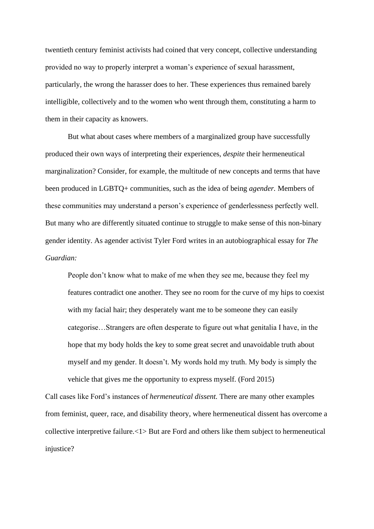twentieth century feminist activists had coined that very concept, collective understanding provided no way to properly interpret a woman's experience of sexual harassment, particularly, the wrong the harasser does to her. These experiences thus remained barely intelligible, collectively and to the women who went through them, constituting a harm to them in their capacity as knowers.

But what about cases where members of a marginalized group have successfully produced their own ways of interpreting their experiences, *despite* their hermeneutical marginalization? Consider, for example, the multitude of new concepts and terms that have been produced in LGBTQ+ communities, such as the idea of being *agender.* Members of these communities may understand a person's experience of genderlessness perfectly well. But many who are differently situated continue to struggle to make sense of this non-binary gender identity. As agender activist Tyler Ford writes in an autobiographical essay for *The Guardian:*

People don't know what to make of me when they see me, because they feel my features contradict one another. They see no room for the curve of my hips to coexist with my facial hair; they desperately want me to be someone they can easily categorise…Strangers are often desperate to figure out what genitalia I have, in the hope that my body holds the key to some great secret and unavoidable truth about myself and my gender. It doesn't. My words hold my truth. My body is simply the vehicle that gives me the opportunity to express myself. (Ford 2015)

Call cases like Ford's instances of *hermeneutical dissent.* There are many other examples from feminist, queer, race, and disability theory, where hermeneutical dissent has overcome a collective interpretive failure.<1> But are Ford and others like them subject to hermeneutical injustice?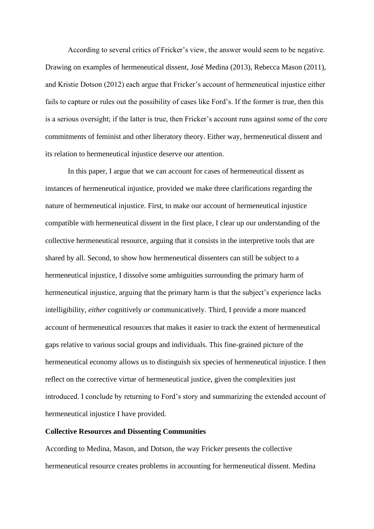According to several critics of Fricker's view, the answer would seem to be negative. Drawing on examples of hermeneutical dissent, José Medina (2013), Rebecca Mason (2011), and Kristie Dotson (2012) each argue that Fricker's account of hermeneutical injustice either fails to capture or rules out the possibility of cases like Ford's. If the former is true, then this is a serious oversight; if the latter is true, then Fricker's account runs against some of the core commitments of feminist and other liberatory theory. Either way, hermeneutical dissent and its relation to hermeneutical injustice deserve our attention.

In this paper, I argue that we can account for cases of hermeneutical dissent as instances of hermeneutical injustice, provided we make three clarifications regarding the nature of hermeneutical injustice. First, to make our account of hermeneutical injustice compatible with hermeneutical dissent in the first place, I clear up our understanding of the collective hermeneutical resource, arguing that it consists in the interpretive tools that are shared by all. Second, to show how hermeneutical dissenters can still be subject to a hermeneutical injustice, I dissolve some ambiguities surrounding the primary harm of hermeneutical injustice, arguing that the primary harm is that the subject's experience lacks intelligibility, *either* cognitively *or* communicatively. Third, I provide a more nuanced account of hermeneutical resources that makes it easier to track the extent of hermeneutical gaps relative to various social groups and individuals. This fine-grained picture of the hermeneutical economy allows us to distinguish six species of hermeneutical injustice. I then reflect on the corrective virtue of hermeneutical justice, given the complexities just introduced. I conclude by returning to Ford's story and summarizing the extended account of hermeneutical injustice I have provided.

### **Collective Resources and Dissenting Communities**

According to Medina, Mason, and Dotson, the way Fricker presents the collective hermeneutical resource creates problems in accounting for hermeneutical dissent. Medina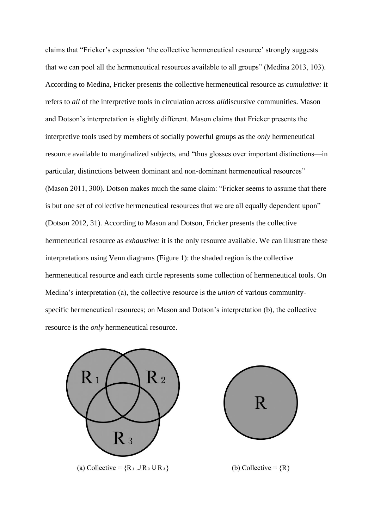claims that "Fricker's expression 'the collective hermeneutical resource' strongly suggests that we can pool all the hermeneutical resources available to all groups" (Medina 2013, 103). According to Medina, Fricker presents the collective hermeneutical resource as *cumulative:* it refers to *all* of the interpretive tools in circulation across *all*discursive communities. Mason and Dotson's interpretation is slightly different. Mason claims that Fricker presents the interpretive tools used by members of socially powerful groups as the *only* hermeneutical resource available to marginalized subjects, and "thus glosses over important distinctions—in particular, distinctions between dominant and non-dominant hermeneutical resources" (Mason 2011, 300). Dotson makes much the same claim: "Fricker seems to assume that there is but one set of collective hermeneutical resources that we are all equally dependent upon" (Dotson 2012, 31). According to Mason and Dotson, Fricker presents the collective hermeneutical resource as *exhaustive:* it is the only resource available. We can illustrate these interpretations using Venn diagrams (Figure 1): the shaded region is the collective hermeneutical resource and each circle represents some collection of hermeneutical tools. On Medina's interpretation (a), the collective resource is the *union* of various communityspecific hermeneutical resources; on Mason and Dotson's interpretation (b), the collective resource is the *only* hermeneutical resource.

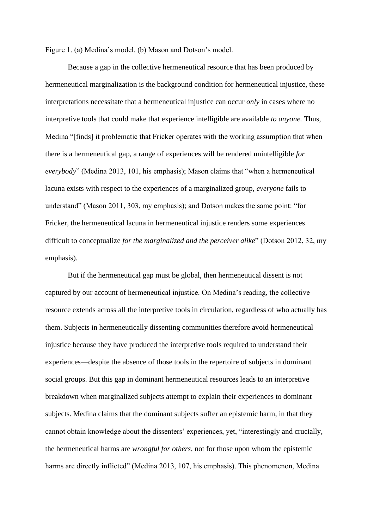Figure 1. (a) Medina's model. (b) Mason and Dotson's model.

Because a gap in the collective hermeneutical resource that has been produced by hermeneutical marginalization is the background condition for hermeneutical injustice, these interpretations necessitate that a hermeneutical injustice can occur *only* in cases where no interpretive tools that could make that experience intelligible are available *to anyone.* Thus, Medina "[finds] it problematic that Fricker operates with the working assumption that when there is a hermeneutical gap, a range of experiences will be rendered unintelligible *for everybody*" (Medina 2013, 101, his emphasis); Mason claims that "when a hermeneutical lacuna exists with respect to the experiences of a marginalized group, *everyone* fails to understand" (Mason 2011, 303, my emphasis); and Dotson makes the same point: "for Fricker, the hermeneutical lacuna in hermeneutical injustice renders some experiences difficult to conceptualize *for the marginalized and the perceiver alike*" (Dotson 2012, 32, my emphasis).

But if the hermeneutical gap must be global, then hermeneutical dissent is not captured by our account of hermeneutical injustice. On Medina's reading, the collective resource extends across all the interpretive tools in circulation, regardless of who actually has them. Subjects in hermeneutically dissenting communities therefore avoid hermeneutical injustice because they have produced the interpretive tools required to understand their experiences—despite the absence of those tools in the repertoire of subjects in dominant social groups. But this gap in dominant hermeneutical resources leads to an interpretive breakdown when marginalized subjects attempt to explain their experiences to dominant subjects. Medina claims that the dominant subjects suffer an epistemic harm, in that they cannot obtain knowledge about the dissenters' experiences, yet, "interestingly and crucially, the hermeneutical harms are *wrongful for others,* not for those upon whom the epistemic harms are directly inflicted" (Medina 2013, 107, his emphasis). This phenomenon, Medina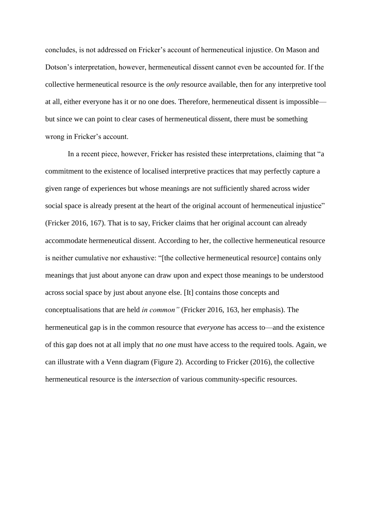concludes, is not addressed on Fricker's account of hermeneutical injustice. On Mason and Dotson's interpretation, however, hermeneutical dissent cannot even be accounted for. If the collective hermeneutical resource is the *only* resource available, then for any interpretive tool at all, either everyone has it or no one does. Therefore, hermeneutical dissent is impossible but since we can point to clear cases of hermeneutical dissent, there must be something wrong in Fricker's account.

In a recent piece, however, Fricker has resisted these interpretations, claiming that "a commitment to the existence of localised interpretive practices that may perfectly capture a given range of experiences but whose meanings are not sufficiently shared across wider social space is already present at the heart of the original account of hermeneutical injustice" (Fricker 2016, 167). That is to say, Fricker claims that her original account can already accommodate hermeneutical dissent. According to her, the collective hermeneutical resource is neither cumulative nor exhaustive: "[the collective hermeneutical resource] contains only meanings that just about anyone can draw upon and expect those meanings to be understood across social space by just about anyone else. [It] contains those concepts and conceptualisations that are held *in common"* (Fricker 2016, 163, her emphasis). The hermeneutical gap is in the common resource that *everyone* has access to—and the existence of this gap does not at all imply that *no one* must have access to the required tools. Again, we can illustrate with a Venn diagram (Figure 2). According to Fricker (2016), the collective hermeneutical resource is the *intersection* of various community-specific resources.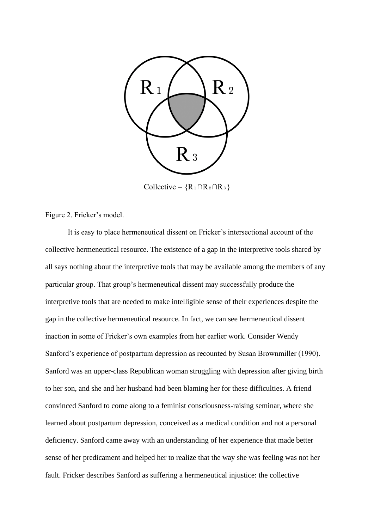

Collective =  ${R_1 \cap R_2 \cap R_3}$ 

Figure 2. Fricker's model.

It is easy to place hermeneutical dissent on Fricker's intersectional account of the collective hermeneutical resource. The existence of a gap in the interpretive tools shared by all says nothing about the interpretive tools that may be available among the members of any particular group. That group's hermeneutical dissent may successfully produce the interpretive tools that are needed to make intelligible sense of their experiences despite the gap in the collective hermeneutical resource. In fact, we can see hermeneutical dissent inaction in some of Fricker's own examples from her earlier work. Consider Wendy Sanford's experience of postpartum depression as recounted by Susan Brownmiller (1990). Sanford was an upper-class Republican woman struggling with depression after giving birth to her son, and she and her husband had been blaming her for these difficulties. A friend convinced Sanford to come along to a feminist consciousness-raising seminar, where she learned about postpartum depression, conceived as a medical condition and not a personal deficiency. Sanford came away with an understanding of her experience that made better sense of her predicament and helped her to realize that the way she was feeling was not her fault. Fricker describes Sanford as suffering a hermeneutical injustice: the collective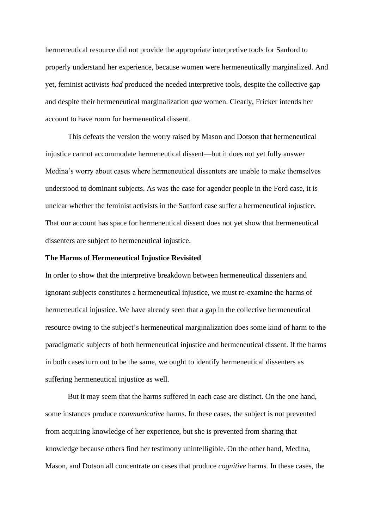hermeneutical resource did not provide the appropriate interpretive tools for Sanford to properly understand her experience, because women were hermeneutically marginalized. And yet, feminist activists *had* produced the needed interpretive tools, despite the collective gap and despite their hermeneutical marginalization *qua* women. Clearly, Fricker intends her account to have room for hermeneutical dissent.

This defeats the version the worry raised by Mason and Dotson that hermeneutical injustice cannot accommodate hermeneutical dissent—but it does not yet fully answer Medina's worry about cases where hermeneutical dissenters are unable to make themselves understood to dominant subjects. As was the case for agender people in the Ford case, it is unclear whether the feminist activists in the Sanford case suffer a hermeneutical injustice. That our account has space for hermeneutical dissent does not yet show that hermeneutical dissenters are subject to hermeneutical injustice.

### **The Harms of Hermeneutical Injustice Revisited**

In order to show that the interpretive breakdown between hermeneutical dissenters and ignorant subjects constitutes a hermeneutical injustice, we must re-examine the harms of hermeneutical injustice. We have already seen that a gap in the collective hermeneutical resource owing to the subject's hermeneutical marginalization does some kind of harm to the paradigmatic subjects of both hermeneutical injustice and hermeneutical dissent. If the harms in both cases turn out to be the same, we ought to identify hermeneutical dissenters as suffering hermeneutical injustice as well.

But it may seem that the harms suffered in each case are distinct. On the one hand, some instances produce *communicative* harms. In these cases, the subject is not prevented from acquiring knowledge of her experience, but she is prevented from sharing that knowledge because others find her testimony unintelligible. On the other hand, Medina, Mason, and Dotson all concentrate on cases that produce *cognitive* harms. In these cases, the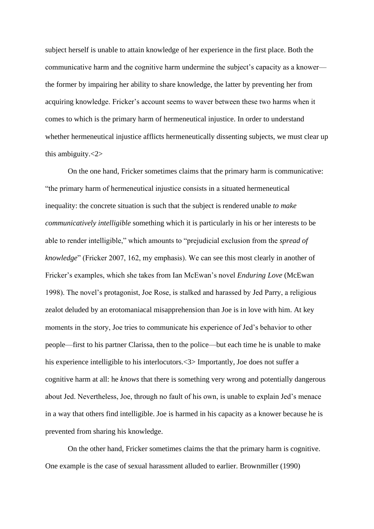subject herself is unable to attain knowledge of her experience in the first place. Both the communicative harm and the cognitive harm undermine the subject's capacity as a knower the former by impairing her ability to share knowledge, the latter by preventing her from acquiring knowledge. Fricker's account seems to waver between these two harms when it comes to which is the primary harm of hermeneutical injustice. In order to understand whether hermeneutical injustice afflicts hermeneutically dissenting subjects, we must clear up this ambiguity.<2>

On the one hand, Fricker sometimes claims that the primary harm is communicative: "the primary harm of hermeneutical injustice consists in a situated hermeneutical inequality: the concrete situation is such that the subject is rendered unable *to make communicatively intelligible* something which it is particularly in his or her interests to be able to render intelligible," which amounts to "prejudicial exclusion from the *spread of knowledge*" (Fricker 2007, 162, my emphasis). We can see this most clearly in another of Fricker's examples, which she takes from Ian McEwan's novel *Enduring Love* (McEwan 1998). The novel's protagonist, Joe Rose, is stalked and harassed by Jed Parry, a religious zealot deluded by an erotomaniacal misapprehension than Joe is in love with him. At key moments in the story, Joe tries to communicate his experience of Jed's behavior to other people—first to his partner Clarissa, then to the police—but each time he is unable to make his experience intelligible to his interlocutors.  $\langle 3 \rangle$  Importantly, Joe does not suffer a cognitive harm at all: he *knows* that there is something very wrong and potentially dangerous about Jed. Nevertheless, Joe, through no fault of his own, is unable to explain Jed's menace in a way that others find intelligible. Joe is harmed in his capacity as a knower because he is prevented from sharing his knowledge.

On the other hand, Fricker sometimes claims the that the primary harm is cognitive. One example is the case of sexual harassment alluded to earlier. Brownmiller (1990)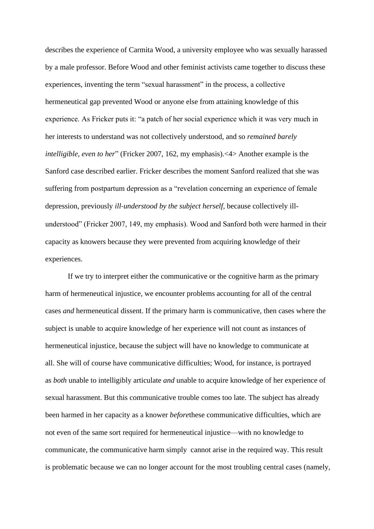describes the experience of Carmita Wood, a university employee who was sexually harassed by a male professor. Before Wood and other feminist activists came together to discuss these experiences, inventing the term "sexual harassment" in the process, a collective hermeneutical gap prevented Wood or anyone else from attaining knowledge of this experience. As Fricker puts it: "a patch of her social experience which it was very much in her interests to understand was not collectively understood, and so *remained barely intelligible, even to her*" (Fricker 2007, 162, my emphasis).<4> Another example is the Sanford case described earlier. Fricker describes the moment Sanford realized that she was suffering from postpartum depression as a "revelation concerning an experience of female depression, previously *ill‐understood by the subject herself,* because collectively illunderstood" (Fricker 2007, 149, my emphasis). Wood and Sanford both were harmed in their capacity as knowers because they were prevented from acquiring knowledge of their experiences.

If we try to interpret either the communicative or the cognitive harm as the primary harm of hermeneutical injustice, we encounter problems accounting for all of the central cases *and* hermeneutical dissent. If the primary harm is communicative, then cases where the subject is unable to acquire knowledge of her experience will not count as instances of hermeneutical injustice, because the subject will have no knowledge to communicate at all. She will of course have communicative difficulties; Wood, for instance, is portrayed as *both* unable to intelligibly articulate *and* unable to acquire knowledge of her experience of sexual harassment. But this communicative trouble comes too late. The subject has already been harmed in her capacity as a knower *before*these communicative difficulties, which are not even of the same sort required for hermeneutical injustice—with no knowledge to communicate, the communicative harm simply cannot arise in the required way. This result is problematic because we can no longer account for the most troubling central cases (namely,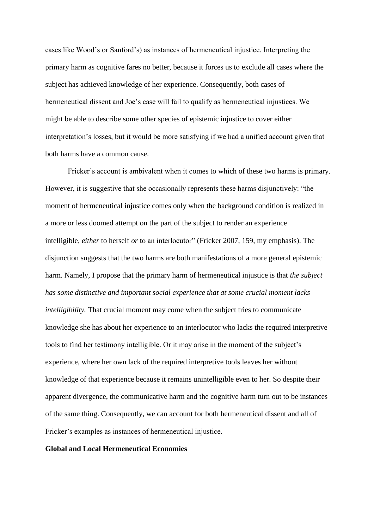cases like Wood's or Sanford's) as instances of hermeneutical injustice. Interpreting the primary harm as cognitive fares no better, because it forces us to exclude all cases where the subject has achieved knowledge of her experience. Consequently, both cases of hermeneutical dissent and Joe's case will fail to qualify as hermeneutical injustices. We might be able to describe some other species of epistemic injustice to cover either interpretation's losses, but it would be more satisfying if we had a unified account given that both harms have a common cause.

Fricker's account is ambivalent when it comes to which of these two harms is primary. However, it is suggestive that she occasionally represents these harms disjunctively: "the moment of hermeneutical injustice comes only when the background condition is realized in a more or less doomed attempt on the part of the subject to render an experience intelligible, *either* to herself *or* to an interlocutor" (Fricker 2007, 159, my emphasis). The disjunction suggests that the two harms are both manifestations of a more general epistemic harm. Namely, I propose that the primary harm of hermeneutical injustice is that *the subject has some distinctive and important social experience that at some crucial moment lacks intelligibility.* That crucial moment may come when the subject tries to communicate knowledge she has about her experience to an interlocutor who lacks the required interpretive tools to find her testimony intelligible. Or it may arise in the moment of the subject's experience, where her own lack of the required interpretive tools leaves her without knowledge of that experience because it remains unintelligible even to her. So despite their apparent divergence, the communicative harm and the cognitive harm turn out to be instances of the same thing. Consequently, we can account for both hermeneutical dissent and all of Fricker's examples as instances of hermeneutical injustice.

### **Global and Local Hermeneutical Economies**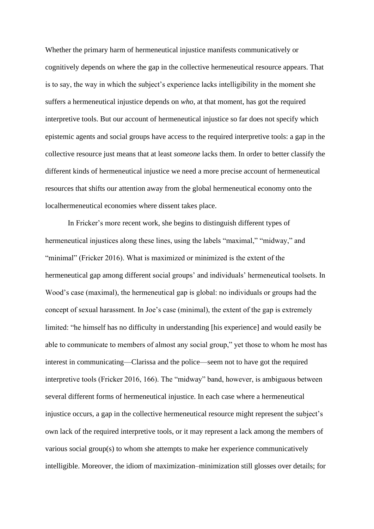Whether the primary harm of hermeneutical injustice manifests communicatively or cognitively depends on where the gap in the collective hermeneutical resource appears. That is to say, the way in which the subject's experience lacks intelligibility in the moment she suffers a hermeneutical injustice depends on *who,* at that moment, has got the required interpretive tools. But our account of hermeneutical injustice so far does not specify which epistemic agents and social groups have access to the required interpretive tools: a gap in the collective resource just means that at least *someone* lacks them. In order to better classify the different kinds of hermeneutical injustice we need a more precise account of hermeneutical resources that shifts our attention away from the global hermeneutical economy onto the localhermeneutical economies where dissent takes place.

In Fricker's more recent work, she begins to distinguish different types of hermeneutical injustices along these lines, using the labels "maximal," "midway," and "minimal" (Fricker 2016). What is maximized or minimized is the extent of the hermeneutical gap among different social groups' and individuals' hermeneutical toolsets. In Wood's case (maximal), the hermeneutical gap is global: no individuals or groups had the concept of sexual harassment. In Joe's case (minimal), the extent of the gap is extremely limited: "he himself has no difficulty in understanding [his experience] and would easily be able to communicate to members of almost any social group," yet those to whom he most has interest in communicating—Clarissa and the police—seem not to have got the required interpretive tools (Fricker 2016, 166). The "midway" band, however, is ambiguous between several different forms of hermeneutical injustice. In each case where a hermeneutical injustice occurs, a gap in the collective hermeneutical resource might represent the subject's own lack of the required interpretive tools, or it may represent a lack among the members of various social group(s) to whom she attempts to make her experience communicatively intelligible. Moreover, the idiom of maximization–minimization still glosses over details; for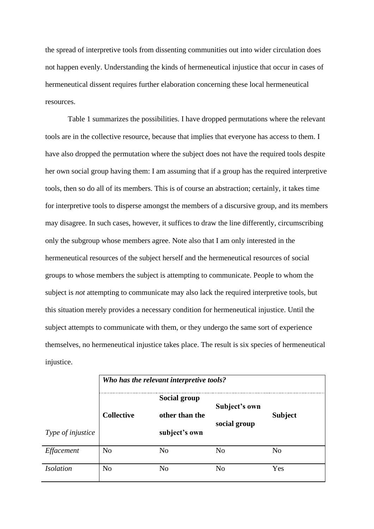the spread of interpretive tools from dissenting communities out into wider circulation does not happen evenly. Understanding the kinds of hermeneutical injustice that occur in cases of hermeneutical dissent requires further elaboration concerning these local hermeneutical resources.

Table 1 summarizes the possibilities. I have dropped permutations where the relevant tools are in the collective resource, because that implies that everyone has access to them. I have also dropped the permutation where the subject does not have the required tools despite her own social group having them: I am assuming that if a group has the required interpretive tools, then so do all of its members. This is of course an abstraction; certainly, it takes time for interpretive tools to disperse amongst the members of a discursive group, and its members may disagree. In such cases, however, it suffices to draw the line differently, circumscribing only the subgroup whose members agree. Note also that I am only interested in the hermeneutical resources of the subject herself and the hermeneutical resources of social groups to whose members the subject is attempting to communicate. People to whom the subject is *not* attempting to communicate may also lack the required interpretive tools, but this situation merely provides a necessary condition for hermeneutical injustice. Until the subject attempts to communicate with them, or they undergo the same sort of experience themselves, no hermeneutical injustice takes place. The result is six species of hermeneutical injustice.

|                   | Who has the relevant interpretive tools? |                                 |                               |                |  |
|-------------------|------------------------------------------|---------------------------------|-------------------------------|----------------|--|
| Type of injustice | <b>Collective</b>                        | Social group                    | Subject's own<br>social group |                |  |
|                   |                                          | other than the<br>subject's own |                               | <b>Subject</b> |  |
| Effacement        | N <sub>0</sub>                           | N <sub>o</sub>                  | No                            | N <sub>0</sub> |  |
| <b>Isolation</b>  | N <sub>0</sub>                           | No                              | No                            | Yes            |  |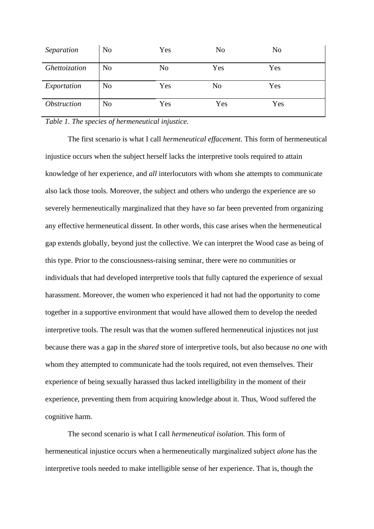| Separation                | N <sub>o</sub> | Yes            | N <sub>0</sub> | No  |
|---------------------------|----------------|----------------|----------------|-----|
| Ghettoization             | N <sub>o</sub> | N <sub>o</sub> | Yes            | Yes |
| Exportation               | N <sub>o</sub> | Yes            | N <sub>o</sub> | Yes |
| <i><b>Obstruction</b></i> | N <sub>o</sub> | Yes            | Yes            | Yes |

*Table 1. The species of hermeneutical injustice.*

The first scenario is what I call *hermeneutical effacement.* This form of hermeneutical injustice occurs when the subject herself lacks the interpretive tools required to attain knowledge of her experience, and *all* interlocutors with whom she attempts to communicate also lack those tools. Moreover, the subject and others who undergo the experience are so severely hermeneutically marginalized that they have so far been prevented from organizing any effective hermeneutical dissent. In other words, this case arises when the hermeneutical gap extends globally, beyond just the collective. We can interpret the Wood case as being of this type. Prior to the consciousness-raising seminar, there were no communities or individuals that had developed interpretive tools that fully captured the experience of sexual harassment. Moreover, the women who experienced it had not had the opportunity to come together in a supportive environment that would have allowed them to develop the needed interpretive tools. The result was that the women suffered hermeneutical injustices not just because there was a gap in the *shared* store of interpretive tools, but also because *no one* with whom they attempted to communicate had the tools required, not even themselves. Their experience of being sexually harassed thus lacked intelligibility in the moment of their experience, preventing them from acquiring knowledge about it. Thus, Wood suffered the cognitive harm.

The second scenario is what I call *hermeneutical isolation.* This form of hermeneutical injustice occurs when a hermeneutically marginalized subject *alone* has the interpretive tools needed to make intelligible sense of her experience. That is, though the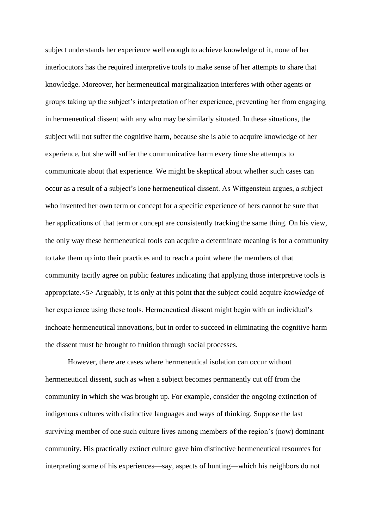subject understands her experience well enough to achieve knowledge of it, none of her interlocutors has the required interpretive tools to make sense of her attempts to share that knowledge. Moreover, her hermeneutical marginalization interferes with other agents or groups taking up the subject's interpretation of her experience, preventing her from engaging in hermeneutical dissent with any who may be similarly situated. In these situations, the subject will not suffer the cognitive harm, because she is able to acquire knowledge of her experience, but she will suffer the communicative harm every time she attempts to communicate about that experience. We might be skeptical about whether such cases can occur as a result of a subject's lone hermeneutical dissent. As Wittgenstein argues, a subject who invented her own term or concept for a specific experience of hers cannot be sure that her applications of that term or concept are consistently tracking the same thing. On his view, the only way these hermeneutical tools can acquire a determinate meaning is for a community to take them up into their practices and to reach a point where the members of that community tacitly agree on public features indicating that applying those interpretive tools is appropriate.<5> Arguably, it is only at this point that the subject could acquire *knowledge* of her experience using these tools. Hermeneutical dissent might begin with an individual's inchoate hermeneutical innovations, but in order to succeed in eliminating the cognitive harm the dissent must be brought to fruition through social processes.

However, there are cases where hermeneutical isolation can occur without hermeneutical dissent, such as when a subject becomes permanently cut off from the community in which she was brought up. For example, consider the ongoing extinction of indigenous cultures with distinctive languages and ways of thinking. Suppose the last surviving member of one such culture lives among members of the region's (now) dominant community. His practically extinct culture gave him distinctive hermeneutical resources for interpreting some of his experiences—say, aspects of hunting—which his neighbors do not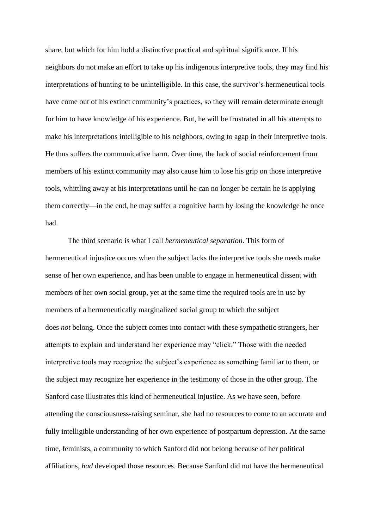share, but which for him hold a distinctive practical and spiritual significance. If his neighbors do not make an effort to take up his indigenous interpretive tools, they may find his interpretations of hunting to be unintelligible. In this case, the survivor's hermeneutical tools have come out of his extinct community's practices, so they will remain determinate enough for him to have knowledge of his experience. But, he will be frustrated in all his attempts to make his interpretations intelligible to his neighbors, owing to agap in their interpretive tools. He thus suffers the communicative harm. Over time, the lack of social reinforcement from members of his extinct community may also cause him to lose his grip on those interpretive tools, whittling away at his interpretations until he can no longer be certain he is applying them correctly—in the end, he may suffer a cognitive harm by losing the knowledge he once had.

The third scenario is what I call *hermeneutical separation*. This form of hermeneutical injustice occurs when the subject lacks the interpretive tools she needs make sense of her own experience, and has been unable to engage in hermeneutical dissent with members of her own social group, yet at the same time the required tools are in use by members of a hermeneutically marginalized social group to which the subject does *not* belong. Once the subject comes into contact with these sympathetic strangers, her attempts to explain and understand her experience may "click." Those with the needed interpretive tools may recognize the subject's experience as something familiar to them, or the subject may recognize her experience in the testimony of those in the other group. The Sanford case illustrates this kind of hermeneutical injustice. As we have seen, before attending the consciousness-raising seminar, she had no resources to come to an accurate and fully intelligible understanding of her own experience of postpartum depression. At the same time, feminists, a community to which Sanford did not belong because of her political affiliations, *had* developed those resources. Because Sanford did not have the hermeneutical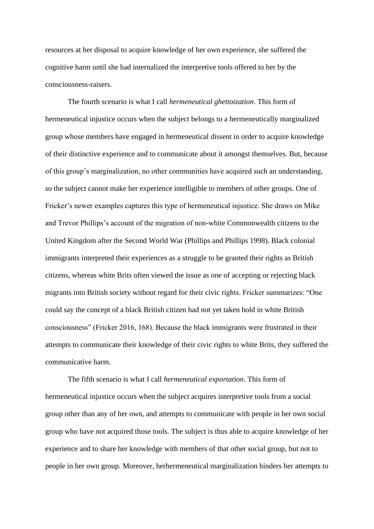resources at her disposal to acquire knowledge of her own experience, she suffered the cognitive harm until she had internalized the interpretive tools offered to her by the consciousness-raisers.

The fourth scenario is what I call *hermeneutical ghettoization*. This form of hermeneutical injustice occurs when the subject belongs to a hermeneutically marginalized group whose members have engaged in hermeneutical dissent in order to acquire knowledge of their distinctive experience and to communicate about it amongst themselves. But, because of this group's marginalization, no other communities have acquired such an understanding, so the subject cannot make her experience intelligible to members of other groups. One of Fricker's newer examples captures this type of hermeneutical injustice. She draws on Mike and Trevor Phillips's account of the migration of non-white Commonwealth citizens to the United Kingdom after the Second World War (Phillips and Phillips 1998). Black colonial immigrants interpreted their experiences as a struggle to be granted their rights as British citizens, whereas white Brits often viewed the issue as one of accepting or rejecting black migrants into British society without regard for their civic rights. Fricker summarizes: "One could say the concept of a black British citizen had not yet taken hold in white British consciousness" (Fricker 2016, 168). Because the black immigrants were frustrated in their attempts to communicate their knowledge of their civic rights to white Brits, they suffered the communicative harm.

The fifth scenario is what I call *hermeneutical exportation*. This form of hermeneutical injustice occurs when the subject acquires interpretive tools from a social group other than any of her own, and attempts to communicate with people in her own social group who have not acquired those tools. The subject is thus able to acquire knowledge of her experience and to share her knowledge with members of that other social group, but not to people in her own group. Moreover, herhermeneutical marginalization hinders her attempts to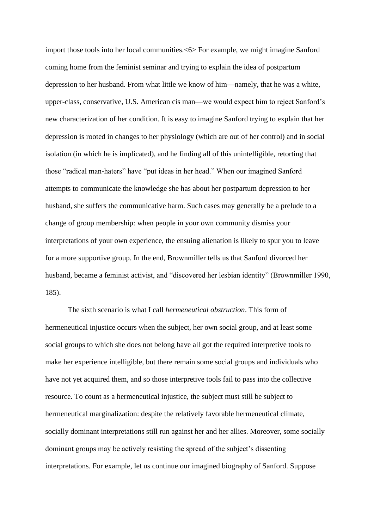import those tools into her local communities.<6> For example, we might imagine Sanford coming home from the feminist seminar and trying to explain the idea of postpartum depression to her husband. From what little we know of him—namely, that he was a white, upper-class, conservative, U.S. American cis man—we would expect him to reject Sanford's new characterization of her condition. It is easy to imagine Sanford trying to explain that her depression is rooted in changes to her physiology (which are out of her control) and in social isolation (in which he is implicated), and he finding all of this unintelligible, retorting that those "radical man-haters" have "put ideas in her head." When our imagined Sanford attempts to communicate the knowledge she has about her postpartum depression to her husband, she suffers the communicative harm. Such cases may generally be a prelude to a change of group membership: when people in your own community dismiss your interpretations of your own experience, the ensuing alienation is likely to spur you to leave for a more supportive group. In the end, Brownmiller tells us that Sanford divorced her husband, became a feminist activist, and "discovered her lesbian identity" (Brownmiller 1990, 185).

The sixth scenario is what I call *hermeneutical obstruction*. This form of hermeneutical injustice occurs when the subject, her own social group, and at least some social groups to which she does not belong have all got the required interpretive tools to make her experience intelligible, but there remain some social groups and individuals who have not yet acquired them, and so those interpretive tools fail to pass into the collective resource. To count as a hermeneutical injustice, the subject must still be subject to hermeneutical marginalization: despite the relatively favorable hermeneutical climate, socially dominant interpretations still run against her and her allies. Moreover, some socially dominant groups may be actively resisting the spread of the subject's dissenting interpretations. For example, let us continue our imagined biography of Sanford. Suppose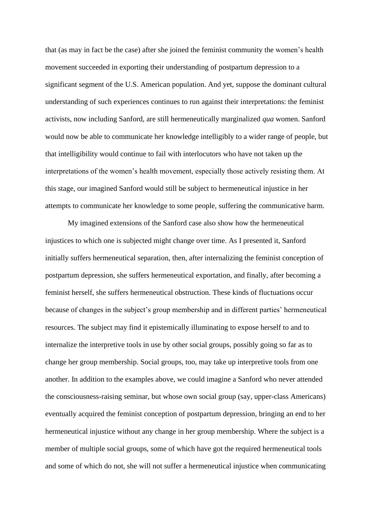that (as may in fact be the case) after she joined the feminist community the women's health movement succeeded in exporting their understanding of postpartum depression to a significant segment of the U.S. American population. And yet, suppose the dominant cultural understanding of such experiences continues to run against their interpretations: the feminist activists, now including Sanford, are still hermeneutically marginalized *qua* women. Sanford would now be able to communicate her knowledge intelligibly to a wider range of people, but that intelligibility would continue to fail with interlocutors who have not taken up the interpretations of the women's health movement, especially those actively resisting them. At this stage, our imagined Sanford would still be subject to hermeneutical injustice in her attempts to communicate her knowledge to some people, suffering the communicative harm.

My imagined extensions of the Sanford case also show how the hermeneutical injustices to which one is subjected might change over time. As I presented it, Sanford initially suffers hermeneutical separation, then, after internalizing the feminist conception of postpartum depression, she suffers hermeneutical exportation, and finally, after becoming a feminist herself, she suffers hermeneutical obstruction. These kinds of fluctuations occur because of changes in the subject's group membership and in different parties' hermeneutical resources. The subject may find it epistemically illuminating to expose herself to and to internalize the interpretive tools in use by other social groups, possibly going so far as to change her group membership. Social groups, too, may take up interpretive tools from one another. In addition to the examples above, we could imagine a Sanford who never attended the consciousness-raising seminar, but whose own social group (say, upper-class Americans) eventually acquired the feminist conception of postpartum depression, bringing an end to her hermeneutical injustice without any change in her group membership. Where the subject is a member of multiple social groups, some of which have got the required hermeneutical tools and some of which do not, she will not suffer a hermeneutical injustice when communicating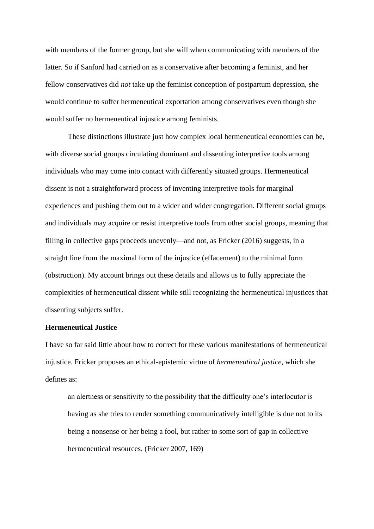with members of the former group, but she will when communicating with members of the latter. So if Sanford had carried on as a conservative after becoming a feminist, and her fellow conservatives did *not* take up the feminist conception of postpartum depression, she would continue to suffer hermeneutical exportation among conservatives even though she would suffer no hermeneutical injustice among feminists.

These distinctions illustrate just how complex local hermeneutical economies can be, with diverse social groups circulating dominant and dissenting interpretive tools among individuals who may come into contact with differently situated groups. Hermeneutical dissent is not a straightforward process of inventing interpretive tools for marginal experiences and pushing them out to a wider and wider congregation. Different social groups and individuals may acquire or resist interpretive tools from other social groups, meaning that filling in collective gaps proceeds unevenly—and not, as Fricker (2016) suggests, in a straight line from the maximal form of the injustice (effacement) to the minimal form (obstruction). My account brings out these details and allows us to fully appreciate the complexities of hermeneutical dissent while still recognizing the hermeneutical injustices that dissenting subjects suffer.

# **Hermeneutical Justice**

I have so far said little about how to correct for these various manifestations of hermeneutical injustice. Fricker proposes an ethical-epistemic virtue of *hermeneutical justice,* which she defines as:

an alertness or sensitivity to the possibility that the difficulty one's interlocutor is having as she tries to render something communicatively intelligible is due not to its being a nonsense or her being a fool, but rather to some sort of gap in collective hermeneutical resources. (Fricker 2007, 169)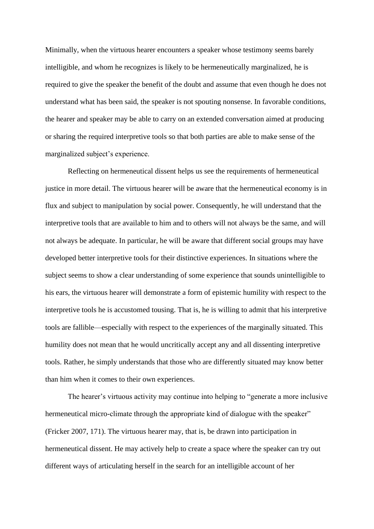Minimally, when the virtuous hearer encounters a speaker whose testimony seems barely intelligible, and whom he recognizes is likely to be hermeneutically marginalized, he is required to give the speaker the benefit of the doubt and assume that even though he does not understand what has been said, the speaker is not spouting nonsense. In favorable conditions, the hearer and speaker may be able to carry on an extended conversation aimed at producing or sharing the required interpretive tools so that both parties are able to make sense of the marginalized subject's experience.

Reflecting on hermeneutical dissent helps us see the requirements of hermeneutical justice in more detail. The virtuous hearer will be aware that the hermeneutical economy is in flux and subject to manipulation by social power. Consequently, he will understand that the interpretive tools that are available to him and to others will not always be the same, and will not always be adequate. In particular, he will be aware that different social groups may have developed better interpretive tools for their distinctive experiences. In situations where the subject seems to show a clear understanding of some experience that sounds unintelligible to his ears, the virtuous hearer will demonstrate a form of epistemic humility with respect to the interpretive tools he is accustomed tousing. That is, he is willing to admit that his interpretive tools are fallible—especially with respect to the experiences of the marginally situated. This humility does not mean that he would uncritically accept any and all dissenting interpretive tools. Rather, he simply understands that those who are differently situated may know better than him when it comes to their own experiences.

The hearer's virtuous activity may continue into helping to "generate a more inclusive hermeneutical micro-climate through the appropriate kind of dialogue with the speaker" (Fricker 2007, 171). The virtuous hearer may, that is, be drawn into participation in hermeneutical dissent. He may actively help to create a space where the speaker can try out different ways of articulating herself in the search for an intelligible account of her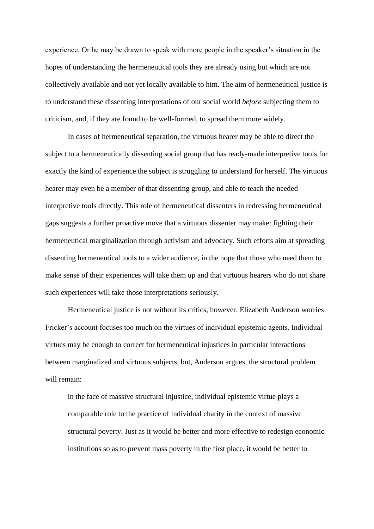experience. Or he may be drawn to speak with more people in the speaker's situation in the hopes of understanding the hermeneutical tools they are already using but which are not collectively available and not yet locally available to him. The aim of hermeneutical justice is to understand these dissenting interpretations of our social world *before* subjecting them to criticism, and, if they are found to be well-formed, to spread them more widely.

In cases of hermeneutical separation, the virtuous hearer may be able to direct the subject to a hermeneutically dissenting social group that has ready-made interpretive tools for exactly the kind of experience the subject is struggling to understand for herself. The virtuous hearer may even be a member of that dissenting group, and able to teach the needed interpretive tools directly. This role of hermeneutical dissenters in redressing hermeneutical gaps suggests a further proactive move that a virtuous dissenter may make: fighting their hermeneutical marginalization through activism and advocacy. Such efforts aim at spreading dissenting hermeneutical tools to a wider audience, in the hope that those who need them to make sense of their experiences will take them up and that virtuous hearers who do not share such experiences will take those interpretations seriously.

Hermeneutical justice is not without its critics, however. Elizabeth Anderson worries Fricker's account focuses too much on the virtues of individual epistemic agents. Individual virtues may be enough to correct for hermeneutical injustices in particular interactions between marginalized and virtuous subjects, but, Anderson argues, the structural problem will remain:

in the face of massive structural injustice, individual epistemic virtue plays a comparable role to the practice of individual charity in the context of massive structural poverty. Just as it would be better and more effective to redesign economic institutions so as to prevent mass poverty in the first place, it would be better to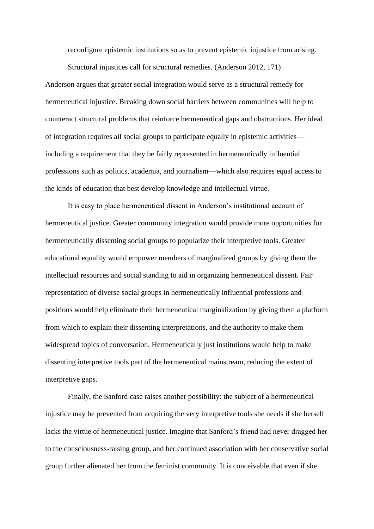reconfigure epistemic institutions so as to prevent epistemic injustice from arising.

Structural injustices call for structural remedies. (Anderson 2012, 171)

Anderson argues that greater social integration would serve as a structural remedy for hermeneutical injustice. Breaking down social barriers between communities will help to counteract structural problems that reinforce hermeneutical gaps and obstructions. Her ideal of integration requires all social groups to participate equally in epistemic activities including a requirement that they be fairly represented in hermeneutically influential professions such as politics, academia, and journalism—which also requires equal access to the kinds of education that best develop knowledge and intellectual virtue.

It is easy to place hermeneutical dissent in Anderson's institutional account of hermeneutical justice. Greater community integration would provide more opportunities for hermeneutically dissenting social groups to popularize their interpretive tools. Greater educational equality would empower members of marginalized groups by giving them the intellectual resources and social standing to aid in organizing hermeneutical dissent. Fair representation of diverse social groups in hermeneutically influential professions and positions would help eliminate their hermeneutical marginalization by giving them a platform from which to explain their dissenting interpretations, and the authority to make them widespread topics of conversation. Hermeneutically just institutions would help to make dissenting interpretive tools part of the hermeneutical mainstream, reducing the extent of interpretive gaps.

Finally, the Sanford case raises another possibility: the subject of a hermeneutical injustice may be prevented from acquiring the very interpretive tools she needs if she herself lacks the virtue of hermeneutical justice. Imagine that Sanford's friend had never dragged her to the consciousness-raising group, and her continued association with her conservative social group further alienated her from the feminist community. It is conceivable that even if she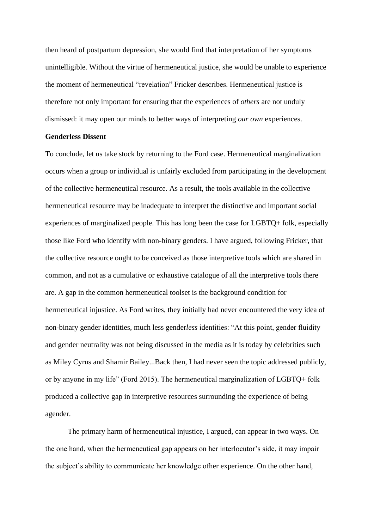then heard of postpartum depression, she would find that interpretation of her symptoms unintelligible. Without the virtue of hermeneutical justice, she would be unable to experience the moment of hermeneutical "revelation" Fricker describes. Hermeneutical justice is therefore not only important for ensuring that the experiences of *others* are not unduly dismissed: it may open our minds to better ways of interpreting *our own* experiences.

### **Genderless Dissent**

To conclude, let us take stock by returning to the Ford case. Hermeneutical marginalization occurs when a group or individual is unfairly excluded from participating in the development of the collective hermeneutical resource. As a result, the tools available in the collective hermeneutical resource may be inadequate to interpret the distinctive and important social experiences of marginalized people. This has long been the case for LGBTQ+ folk, especially those like Ford who identify with non-binary genders. I have argued, following Fricker, that the collective resource ought to be conceived as those interpretive tools which are shared in common, and not as a cumulative or exhaustive catalogue of all the interpretive tools there are. A gap in the common hermeneutical toolset is the background condition for hermeneutical injustice. As Ford writes, they initially had never encountered the very idea of non-binary gender identities, much less gender*less* identities: "At this point, gender fluidity and gender neutrality was not being discussed in the media as it is today by celebrities such as Miley Cyrus and Shamir Bailey...Back then, I had never seen the topic addressed publicly, or by anyone in my life" (Ford 2015). The hermeneutical marginalization of LGBTQ+ folk produced a collective gap in interpretive resources surrounding the experience of being agender.

The primary harm of hermeneutical injustice, I argued, can appear in two ways. On the one hand, when the hermeneutical gap appears on her interlocutor's side, it may impair the subject's ability to communicate her knowledge ofher experience. On the other hand,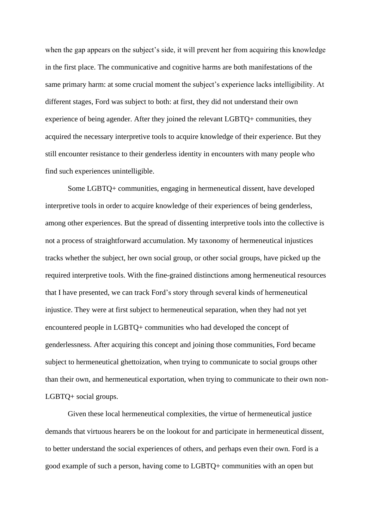when the gap appears on the subject's side, it will prevent her from acquiring this knowledge in the first place. The communicative and cognitive harms are both manifestations of the same primary harm: at some crucial moment the subject's experience lacks intelligibility. At different stages, Ford was subject to both: at first, they did not understand their own experience of being agender. After they joined the relevant LGBTQ+ communities, they acquired the necessary interpretive tools to acquire knowledge of their experience. But they still encounter resistance to their genderless identity in encounters with many people who find such experiences unintelligible.

Some LGBTQ+ communities, engaging in hermeneutical dissent, have developed interpretive tools in order to acquire knowledge of their experiences of being genderless, among other experiences. But the spread of dissenting interpretive tools into the collective is not a process of straightforward accumulation. My taxonomy of hermeneutical injustices tracks whether the subject, her own social group, or other social groups, have picked up the required interpretive tools. With the fine-grained distinctions among hermeneutical resources that I have presented, we can track Ford's story through several kinds of hermeneutical injustice. They were at first subject to hermeneutical separation, when they had not yet encountered people in LGBTQ+ communities who had developed the concept of genderlessness. After acquiring this concept and joining those communities, Ford became subject to hermeneutical ghettoization, when trying to communicate to social groups other than their own, and hermeneutical exportation, when trying to communicate to their own non-LGBTQ+ social groups.

Given these local hermeneutical complexities, the virtue of hermeneutical justice demands that virtuous hearers be on the lookout for and participate in hermeneutical dissent, to better understand the social experiences of others, and perhaps even their own. Ford is a good example of such a person, having come to LGBTQ+ communities with an open but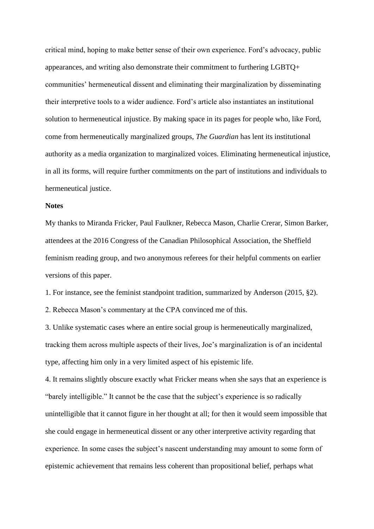critical mind, hoping to make better sense of their own experience. Ford's advocacy, public appearances, and writing also demonstrate their commitment to furthering LGBTQ+ communities' hermeneutical dissent and eliminating their marginalization by disseminating their interpretive tools to a wider audience. Ford's article also instantiates an institutional solution to hermeneutical injustice. By making space in its pages for people who, like Ford, come from hermeneutically marginalized groups, *The Guardian* has lent its institutional authority as a media organization to marginalized voices. Eliminating hermeneutical injustice, in all its forms, will require further commitments on the part of institutions and individuals to hermeneutical justice.

## **Notes**

My thanks to Miranda Fricker, Paul Faulkner, Rebecca Mason, Charlie Crerar, Simon Barker, attendees at the 2016 Congress of the Canadian Philosophical Association, the Sheffield feminism reading group, and two anonymous referees for their helpful comments on earlier versions of this paper.

1. For instance, see the feminist standpoint tradition, summarized by Anderson (2015, §2).

2. Rebecca Mason's commentary at the CPA convinced me of this.

3. Unlike systematic cases where an entire social group is hermeneutically marginalized, tracking them across multiple aspects of their lives, Joe's marginalization is of an incidental type, affecting him only in a very limited aspect of his epistemic life.

4. It remains slightly obscure exactly what Fricker means when she says that an experience is "barely intelligible." It cannot be the case that the subject's experience is so radically unintelligible that it cannot figure in her thought at all; for then it would seem impossible that she could engage in hermeneutical dissent or any other interpretive activity regarding that experience. In some cases the subject's nascent understanding may amount to some form of epistemic achievement that remains less coherent than propositional belief, perhaps what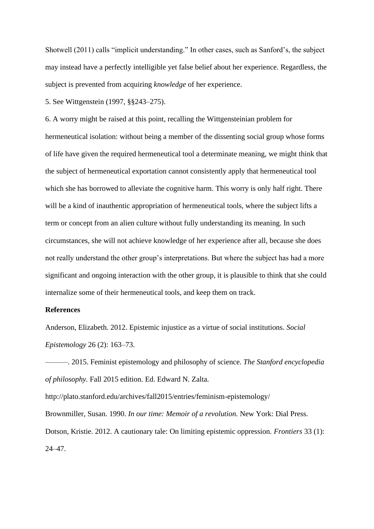Shotwell (2011) calls "implicit understanding." In other cases, such as Sanford's, the subject may instead have a perfectly intelligible yet false belief about her experience. Regardless, the subject is prevented from acquiring *knowledge* of her experience.

5. See Wittgenstein (1997, §§243–275).

6. A worry might be raised at this point, recalling the Wittgensteinian problem for hermeneutical isolation: without being a member of the dissenting social group whose forms of life have given the required hermeneutical tool a determinate meaning, we might think that the subject of hermeneutical exportation cannot consistently apply that hermeneutical tool which she has borrowed to alleviate the cognitive harm. This worry is only half right. There will be a kind of inauthentic appropriation of hermeneutical tools, where the subject lifts a term or concept from an alien culture without fully understanding its meaning. In such circumstances, she will not achieve knowledge of her experience after all, because she does not really understand the other group's interpretations. But where the subject has had a more significant and ongoing interaction with the other group, it is plausible to think that she could internalize some of their hermeneutical tools, and keep them on track.

### **References**

Anderson, Elizabeth. 2012. Epistemic injustice as a virtue of social institutions. *Social Epistemology* 26 (2): 163–73.

———. 2015. Feminist epistemology and philosophy of science. *The Stanford encyclopedia of philosophy.* Fall 2015 edition. Ed. Edward N. Zalta.

http://plato.stanford.edu/archives/fall2015/entries/feminism-epistemology/ Brownmiller, Susan. 1990. *In our time: Memoir of a revolution.* New York: Dial Press. Dotson, Kristie. 2012. A cautionary tale: On limiting epistemic oppression. *Frontiers* 33 (1): 24–47.